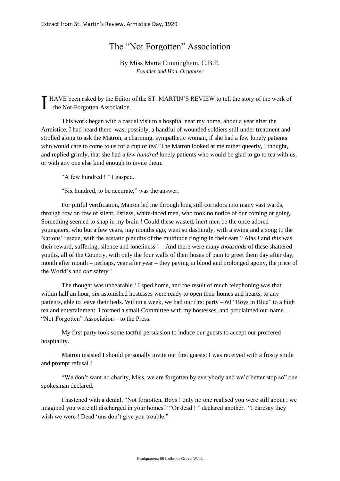## The "Not Forgotten" Association

## By Miss Marta Cunningham, C.B.E. *Founder and Hon. Organiser*

I HAVE been asked by the Editor of the ST. MARTIN'S REVIEW to tell the story of the work of the Not-Forgotten Association. the Not-Forgotten Association.

This work began with a casual visit to a hospital near my home, about a year after the Armistice. I had heard there was, possibly, a handful of wounded soldiers still under treatment and strolled along to ask the Matron, a charming, sympathetic woman, if she had a few lonely patients who would care to come to us for a cup of tea? The Matron looked at me rather queerly, I thought, and replied grimly, that she had a *few hundred* lonely patients who would be glad to go to tea with us, or with any one else kind enough to invite them.

"A few hundred ! " I gasped.

"Six hundred, to be accurate," was the answer.

For pitiful verification, Matron led me through long still corridors into many vast wards, through row on row of silent, listless, white-faced men, who took no notice of our coming or going. Something seemed to snap in my brain ! Could these wasted, inert men be the once adored youngsters, who but a few years, nay months ago, went so dashingly, with a swing and a song to the Nations' rescue, with the ecstatic plaudits of the multitude ringing in their ears ? Alas ! and *this* was their reward, suffering, silence and loneliness ! – And there were many *thousands* of these shattered youths, all of the Country, with only the four walls of their hoses of pain to greet them day after day, month after month – perhaps, year after year – they paying in blood and prolonged agony, the price of the World's and *our* safety !

The thought was unbearable ! I sped home, and the result of much telephoning was that within half an hour, six astonished hostesses were ready to open their homes and hearts, to any patients, able to leave their beds. Within a week, we had our first party  $-60$  "Boys in Blue" to a high tea and entertainment. I formed a small Committee with my hostesses, and proclaimed our name – "Not-Forgotten" Association – to the Press.

My first party took some tactful persuasion to induce our guests to accept our proffered hospitality.

Matron insisted I should personally invite our first guests; I was received with a frosty smile and prompt refusal !

"We don't want no charity, Miss, we are forgotten by everybody and we'd better stop so" one spokesman declared.

I hastened with a denial, "Not forgotten, Boys ! only no one realised you were still about ; we imagined you were all discharged in your homes." "Or dead ! " declared another. "I daresay they wish we were ! Dead 'uns don't give you trouble."